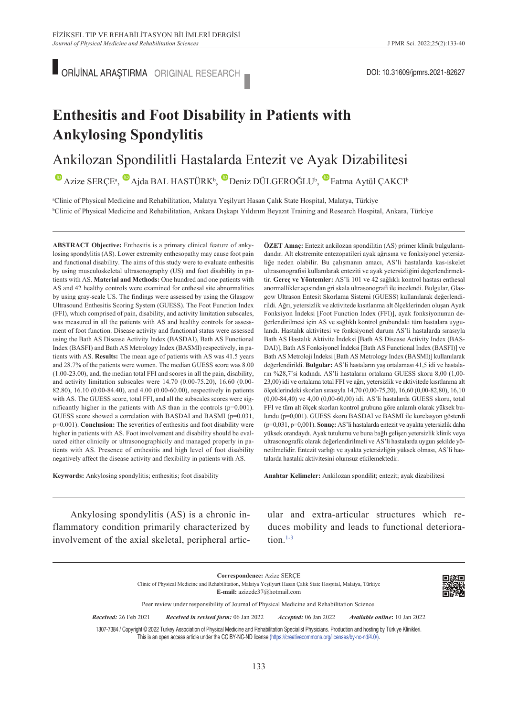ORİJİNAL ARAŞTIRMA ORIGINAL RESEARCH **DOLLU ARAŞTIRMA ORIGINAL RESEARCH** 

# **Enthesitis and Foot Disability in Patients with Ankylosing Spondylitis**

### Ankilozan Spondilitli Hastalarda Entezit ve Ayak Dizabilitesi

AzizeSERÇE<sup>a</sup>, Ajda BAL HASTÜRK<sup>b</sup>, Deniz DÜLGEROĞLU<sup>b</sup>, Fatma Aytül ÇAKCI<sup>b</sup>

a Clinic of Physical Medicine and Rehabilitation, Malatya Yeşilyurt Hasan Çalık State Hospital, Malatya, Türkiye b Clinic of Physical Medicine and Rehabilitation, Ankara Dışkapı Yıldırım Beyazıt Training and Research Hospital, Ankara, Türkiye

**ABS TRACT Objective:** Enthesitis is a primary clinical feature of ankylosing spondylitis (AS). Lower extremity enthesopathy may cause foot pain and functional disability. The aims of this study were to evaluate enthesitis by using musculoskeletal ultrasonography (US) and foot disability in patients with AS. **Material and Methods:** One hundred and one patients with AS and 42 healthy controls were examined for enthesal site abnormalities by using gray-scale US. The findings were assessed by using the Glasgow Ultrasound Enthesitis Scoring System (GUESS). The Foot Function Index (FFI), which comprised of pain, disability, and activity limitation subscales, was measured in all the patients with AS and healthy controls for assessment of foot function. Disease activity and functional status were assessed using the Bath AS Disease Activity Index (BASDAI), Bath AS Functional Index (BASFI) and Bath AS Metrology Index (BASMI) respectively, in patients with AS. **Results:** The mean age of patients with AS was 41.5 years and 28.7% of the patients were women. The median GUESS score was 8.00 (1.00-23.00), and, the median total FFI and scores in all the pain, disability, and activity limitation subscales were 14.70 (0.00-75.20), 16.60 (0.00- 82.80), 16.10 (0.00-84.40), and 4.00 (0.00-60.00), respectively in patients with AS. The GUESS score, total FFI, and all the subscales scores were significantly higher in the patients with AS than in the controls (p=0.001). GUESS score showed a correlation with BASDAI and BASMI (p=0.031, p=0.001). **Conclusion:** The severities of enthesitis and foot disability were higher in patients with AS. Foot involvement and disability should be evaluated either clinicily or ultrasonographicily and managed properly in patients with AS. Presence of enthesitis and high level of foot disability negatively affect the disease activity and flexibility in patients with AS.

**Keywords:** Ankylosing spondylitis; enthesitis; foot disability

**ÖZET Amaç:** Entezit ankilozan spondilitin (AS) primer klinik bulgularındandır. Alt ekstremite entezopatileri ayak ağrısına ve fonksiyonel yetersizliğe neden olabilir. Bu çalışmanın amacı, AS'li hastalarda kas-iskelet ultrasonografisi kullanılarak enteziti ve ayak yetersizliğini değerlendirmektir. **Gereç ve Yöntemler:** AS'li 101 ve 42 sağlıklı kontrol hastası enthesal anormallikler açısından gri skala ultrasonografi ile incelendi. Bulgular, Glasgow Ultrason Entesit Skorlama Sistemi (GUESS) kullanılarak değerlendirildi. Ağrı, yetersizlik ve aktivitede kısıtlanma alt ölçeklerinden oluşan Ayak Fonksiyon İndeksi [Foot Function Index (FFI)], ayak fonksiyonunun değerlendirilmesi için AS ve sağlıklı kontrol grubundaki tüm hastalara uygulandı. Hastalık aktivitesi ve fonksiyonel durum AS'li hastalarda sırasıyla Bath AS Hastalık Aktivite İndeksi [Bath AS Disease Activity Index (BAS-DAI)], Bath AS Fonksiyonel İndeksi [Bath AS Functional Index (BASFI)] ve Bath AS Metroloji İndeksi [Bath AS Metrology Index (BASMI)] kullanılarak değerlendirildi. **Bulgular:** AS'li hastaların yaş ortalaması 41,5 idi ve hastaların %28,7'si kadındı. AS'li hastaların ortalama GUESS skoru 8,00 (1,00- 23,00) idi ve ortalama total FFI ve ağrı, yetersizlik ve aktivitede kısıtlanma alt ölçeklerindeki skorları sırasıyla 14,70 (0,00-75,20), 16,60 (0,00-82,80), 16,10 (0,00-84,40) ve 4,00 (0,00-60,00) idi. AS'li hastalarda GUESS skoru, total FFI ve tüm alt ölçek skorları kontrol grubuna göre anlamlı olarak yüksek bulundu (p=0,001). GUESS skoru BASDAI ve BASMI ile korelasyon gösterdi (p=0,031, p=0,001). **Sonuç:** AS'li hastalarda entezit ve ayakta yetersizlik daha yüksek orandaydı. Ayak tutulumu ve buna bağlı gelişen yetersizlik klinik veya ultrasonografik olarak değerlendirilmeli ve AS'li hastalarda uygun şekilde yönetilmelidir. Entezit varlığı ve ayakta yetersizliğin yüksek olması, AS'li hastalarda hastalık aktivitesini olumsuz etkilemektedir.

Anahtar Kelimeler: Ankilozan spondilit; entezit; ayak dizabilitesi

Ankylosing spondylitis (AS) is a chronic inflammatory condition primarily characterized by involvement of the axial skeletal, peripheral articular and extra-articular structures which reduces mobility and leads to functional deteriora $tion.<sup>1-3</sup>$ 





Peer review under responsibility of Journal of Physical Medicine and Rehabilitation Science.

*Re ce i ved:* 26 Feb 2021 *Received in revised form:* 06 Jan 2022 *Ac cep ted:* 06 Jan 2022 *Available online***:** 10 Jan 2022

1307-7384 / Copyright © 2022 Turkey Association of Physical Medicine and Rehabilitation Specialist Physicians. Production and hosting by Türkiye Klinikleri. This is an open access article under the CC BY-NC-ND license [\(https://creativecommons.org/licenses/by-nc-nd/4.0/\)](https://creativecommons.org/licenses/by-nc-nd/4.0/).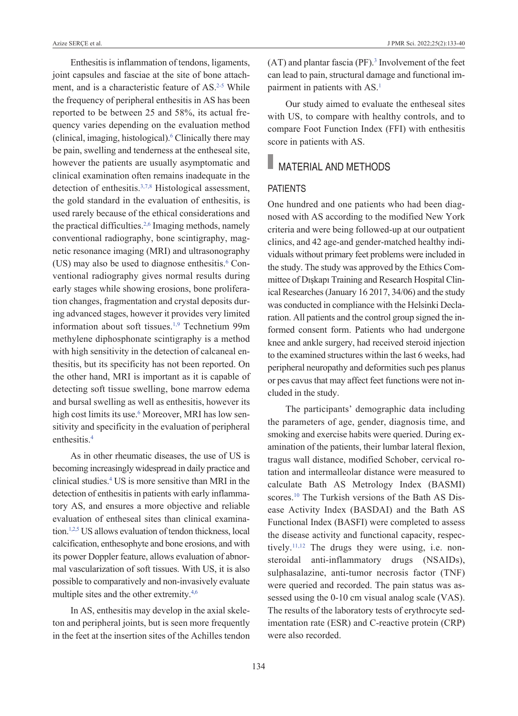Enthesitis is inflammation of tendons, ligaments, joint capsules and fasciae at the site of bone attachment, and is a characteristic feature of AS.<sup>2-5</sup> While the frequency of peripheral enthesitis in AS has been reported to be between 25 and 58%, its actual frequency varies depending on the evaluation method (clinical, imaging, histological)[.6](#page-6-0) Clinically there may be pain, swelling and tenderness at the entheseal site, however the patients are usually asymptomatic and clinical examination often remains inadequate in the detection of enthesitis.<sup>3,7,8</sup> Histological assessment, the gold standard in the evaluation of enthesitis, is used rarely because of the ethical considerations and the practical difficulties.<sup>2,6</sup> Imaging methods, namely conventional radiography, bone scintigraphy, magnetic resonance imaging (MRI) and ultrasonography (US) may also be used to diagnose enthesitis.<sup>6</sup> Conventional radiography gives normal results during early stages while showing erosions, bone proliferation changes, fragmentation and crystal deposits during advanced stages, however it provides very limited information about soft tissues.<sup>1,9</sup> Technetium 99m methylene diphosphonate scintigraphy is a method with high sensitivity in the detection of calcaneal enthesitis, but its specificity has not been reported. On the other hand, MRI is important as it is capable of detecting soft tissue swelling, bone marrow edema and bursal swelling as well as enthesitis, however its high cost limits its use.<sup>6</sup> Moreover, MRI has low sensitivity and specificity in the evaluation of peripheral enthesitis[.4](#page-6-0)

As in other rheumatic diseases, the use of US is becoming increasingly widespread in daily practice and clinical studies[.4](#page-6-0) US is more sensitive than MRI in the detection of enthesitis in patients with early inflammatory AS, and ensures a more objective and reliable evaluation of entheseal sites than clinical examination[.1,2,5](#page-2-0) US allows evaluation of tendon thickness, local calcification, enthesophyte and bone erosions, and with its power Doppler feature, allows evaluation of abnormal vascularization of soft tissues. With US, it is also possible to comparatively and non-invasively evaluate multiple sites and the other extremity.<sup>4,6</sup>

In AS, enthesitis may develop in the axial skeleton and peripheral joints, but is seen more frequently in the feet at the insertion sites of the Achilles tendon

 $(AT)$  and plantar fascia (PF).<sup>3</sup> Involvement of the feet can lead to pain, structural damage and functional impairment in patients with AS.<sup>1</sup>

Our study aimed to evaluate the entheseal sites with US, to compare with healthy controls, and to compare Foot Function Index (FFI) with enthesitis score in patients with AS.

### MATERIAL AND METHODS

#### **PATIENTS**

One hundred and one patients who had been diagnosed with AS according to the modified New York criteria and were being followed-up at our outpatient clinics, and 42 age-and gender-matched healthy individuals without primary feet problems were included in the study. The study was approved by the Ethics Committee of Dışkapı Training and Research Hospital Clinical Researches (January 16 2017, 34/06) and the study was conducted in compliance with the Helsinki Declaration. All patients and the control group signed the informed consent form. Patients who had undergone knee and ankle surgery, had received steroid injection to the examined structures within the last 6 weeks, had peripheral neuropathy and deformities such pes planus or pes cavus that may affect feet functions were not included in the study.

The participants' demographic data including the parameters of age, gender, diagnosis time, and smoking and exercise habits were queried. During examination of the patients, their lumbar lateral flexion, tragus wall distance, modified Schober, cervical rotation and intermalleolar distance were measured to calculate Bath AS Metrology Index (BASMI) scores.<sup>10</sup> The Turkish versions of the Bath AS Disease Activity Index (BASDAI) and the Bath AS Functional Index (BASFI) were completed to assess the disease activity and functional capacity, respectively.<sup>11,12</sup> The drugs they were using, i.e. nonsteroidal anti-inflammatory drugs (NSAIDs), sulphasalazine, anti-tumor necrosis factor (TNF) were queried and recorded. The pain status was assessed using the 0-10 cm visual analog scale (VAS). The results of the laboratory tests of erythrocyte sedimentation rate (ESR) and C-reactive protein (CRP) were also recorded.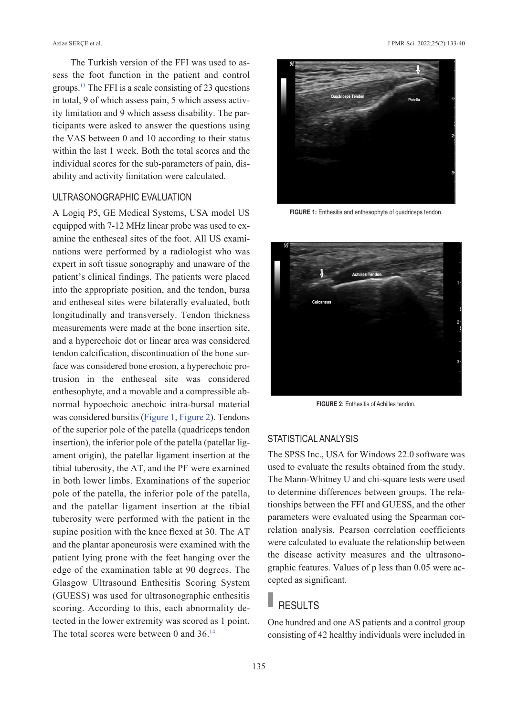The Turkish version of the FFI was used to assess the foot function in the patient and control groups[.13](#page-6-0) The FFI is a scale consisting of 23 questions in total, 9 of which assess pain, 5 which assess activity limitation and 9 which assess disability. The participants were asked to answer the questions using the VAS between 0 and 10 according to their status within the last 1 week. Both the total scores and the individual scores for the sub-parameters of pain, disability and activity limitation were calculated.

#### UltrasonograPhic evalUation

A Logiq P5, GE Medical Systems, USA model US equipped with 7-12 MHz linear probe was used to examine the entheseal sites of the foot. All US examinations were performed by a radiologist who was expert in soft tissue sonography and unaware of the patient's clinical findings. The patients were placed into the appropriate position, and the tendon, bursa and entheseal sites were bilaterally evaluated, both longitudinally and transversely. Tendon thickness measurements were made at the bone insertion site, and a hyperechoic dot or linear area was considered tendon calcification, discontinuation of the bone surface was considered bone erosion, a hyperechoic protrusion in the entheseal site was considered enthesophyte, and a movable and a compressible abnormal hypoechoic anechoic intra-bursal material was considered bursitis [\(Figure 1,](#page-2-1) [Figure 2\)](#page-2-0). Tendons of the superior pole of the patella (quadriceps tendon insertion), the inferior pole of the patella (patellar ligament origin), the patellar ligament insertion at the tibial tuberosity, the AT, and the PF were examined in both lower limbs. Examinations of the superior pole of the patella, the inferior pole of the patella, and the patellar ligament insertion at the tibial tuberosity were performed with the patient in the supine position with the knee flexed at 30. The AT and the plantar aponeurosis were examined with the patient lying prone with the feet hanging over the edge of the examination table at 90 degrees. The Glasgow Ultrasound Enthesitis Scoring System (GUESS) was used for ultrasonographic enthesitis scoring. According to this, each abnormality detected in the lower extremity was scored as 1 point. The total scores were between 0 and 36.<sup>14</sup>



FIGURE 1: Enthesitis and enthesophyte of quadriceps tendon.

<span id="page-2-1"></span>

**FIGURE 2:** Enthesitis of Achilles tendon.

#### <span id="page-2-0"></span>STATISTICAL ANALYSIS

The SPSS Inc., USA for Windows 22.0 software was used to evaluate the results obtained from the study. The Mann-Whitney U and chi-square tests were used to determine differences between groups. The relationships between the FFI and GUESS, and the other parameters were evaluated using the Spearman correlation analysis. Pearson correlation coefficients were calculated to evaluate the relationship between the disease activity measures and the ultrasonographic features. Values of p less than 0.05 were accepted as significant.

## RESULTS

One hundred and one AS patients and a control group consisting of 42 healthy individuals were included in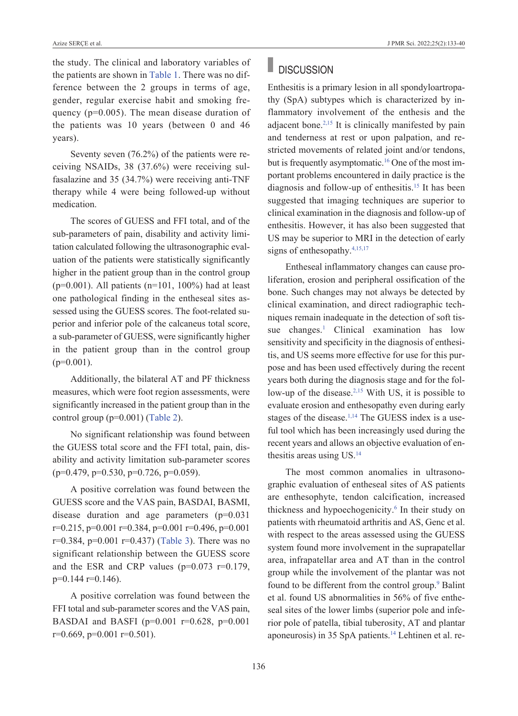the study. The clinical and laboratory variables of the patients are shown in [Table 1.](#page-4-0) There was no difference between the 2 groups in terms of age, gender, regular exercise habit and smoking frequency (p=0.005). The mean disease duration of the patients was 10 years (between 0 and 46 years).

Seventy seven (76.2%) of the patients were receiving NSAIDs, 38 (37.6%) were receiving sulfasalazine and 35 (34.7%) were receiving anti-TNF therapy while 4 were being followed-up without medication.

The scores of GUESS and FFI total, and of the sub-parameters of pain, disability and activity limitation calculated following the ultrasonographic evaluation of the patients were statistically significantly higher in the patient group than in the control group ( $p=0.001$ ). All patients ( $n=101$ , 100%) had at least one pathological finding in the entheseal sites assessed using the GUESS scores. The foot-related superior and inferior pole of the calcaneus total score, a sub-parameter of GUESS, were significantly higher in the patient group than in the control group  $(p=0.001)$ .

Additionally, the bilateral AT and PF thickness measures, which were foot region assessments, were significantly increased in the patient group than in the control group (p=0.001) [\(Table 2\)](#page-4-1).

No significant relationship was found between the GUESS total score and the FFI total, pain, disability and activity limitation sub-parameter scores  $(p=0.479, p=0.530, p=0.726, p=0.059).$ 

A positive correlation was found between the GUESS score and the VAS pain, BASDAI, BASMI, disease duration and age parameters (p=0.031  $r=0.215$ ,  $p=0.001$   $r=0.384$ ,  $p=0.001$   $r=0.496$ ,  $p=0.001$ r=0.384, p=0.001 r=0.437) [\(Table 3\)](#page-4-2). There was no significant relationship between the GUESS score and the ESR and CRP values  $(p=0.073 \text{ r}=0.179)$ , p=0.144 r=0.146).

A positive correlation was found between the FFI total and sub-parameter scores and the VAS pain, BASDAI and BASFI ( $p=0.001$  r=0.628,  $p=0.001$  $r=0.669$ ,  $p=0.001$   $r=0.501$ ).

# **DISCUSSION**

Enthesitis is a primary lesion in all spondyloartropathy (SpA) subtypes which is characterized by inflammatory involvement of the enthesis and the adjacent bone[.2,15](#page-6-0) It is clinically manifested by pain and tenderness at rest or upon palpation, and restricted movements of related joint and/or tendons, but is frequently asymptomatic.<sup>16</sup> One of the most important problems encountered in daily practice is the diagnosis and follow-up of enthesitis.<sup>15</sup> It has been suggested that imaging techniques are superior to clinical examination in the diagnosis and follow-up of enthesitis. However, it has also been suggested that US may be superior to MRI in the detection of early signs of enthesopathy[.4,15,17](#page-6-0)

Entheseal inflammatory changes can cause proliferation, erosion and peripheral ossification of the bone. Such changes may not always be detected by clinical examination, and direct radiographic techniques remain inadequate in the detection of soft tissue changes.<sup>1</sup> Clinical examination has low sensitivity and specificity in the diagnosis of enthesitis, and US seems more effective for use for this purpose and has been used effectively during the recent years both during the diagnosis stage and for the follow-up of the disease.<sup>2,15</sup> With US, it is possible to evaluate erosion and enthesopathy even during early stages of the disease.<sup>1,14</sup> The GUESS index is a useful tool which has been increasingly used during the recent years and allows an objective evaluation of enthesitis areas using US[.14](#page-6-0)

The most common anomalies in ultrasonographic evaluation of entheseal sites of AS patients are enthesophyte, tendon calcification, increased thickness and hypoechogenicity.<sup>6</sup> In their study on patients with rheumatoid arthritis and AS, Genc et al. with respect to the areas assessed using the GUESS system found more involvement in the suprapatellar area, infrapatellar area and AT than in the control group while the involvement of the plantar was not found to be different from the control group.<sup>9</sup> Balint et al. found US abnormalities in 56% of five entheseal sites of the lower limbs (superior pole and inferior pole of patella, tibial tuberosity, AT and plantar aponeurosis) in 35 SpA patients.<sup>14</sup> Lehtinen et al. re-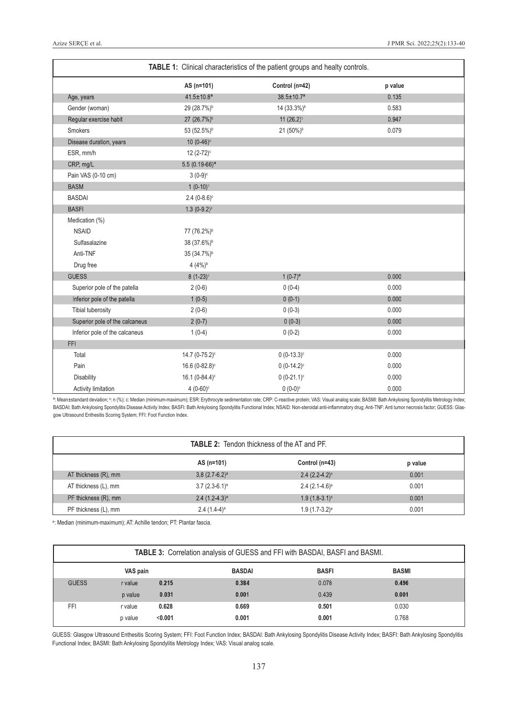<span id="page-4-0"></span>

| TABLE 1: Clinical characteristics of the patient groups and healty controls. |                            |                                  |         |  |  |  |
|------------------------------------------------------------------------------|----------------------------|----------------------------------|---------|--|--|--|
|                                                                              | AS (n=101)                 | Control (n=42)                   | p value |  |  |  |
| Age, years                                                                   | $41.5 \pm 10.8^a$          | 38.5±10.7ª                       | 0.135   |  |  |  |
| Gender (woman)                                                               | 29 (28.7%) <sup>b</sup>    | 0.583<br>14 (33.3%) <sup>b</sup> |         |  |  |  |
| Regular exercise habit                                                       | 27 (26.7%) <sup>b</sup>    | 11 $(26.2)^{b}$<br>0.947         |         |  |  |  |
| Smokers                                                                      | 53 (52.5%) <sup>b</sup>    | 21 (50%) <sup>b</sup><br>0.079   |         |  |  |  |
| Disease duration, years                                                      | 10 $(0-46)$ °              |                                  |         |  |  |  |
| ESR, mm/h                                                                    | 12 (2-72) <sup>c</sup>     |                                  |         |  |  |  |
| CRP, mg/L                                                                    | 5.5 $(0.19-66)^a$          |                                  |         |  |  |  |
| Pain VAS (0-10 cm)                                                           | $3(0-9)$ <sup>c</sup>      |                                  |         |  |  |  |
| <b>BASM</b>                                                                  | $1(0-10)$ <sup>c</sup>     |                                  |         |  |  |  |
| <b>BASDAI</b>                                                                | $2.4(0-8.6)$ °             |                                  |         |  |  |  |
| <b>BASFI</b>                                                                 | $1.3(0-9.2)^c$             |                                  |         |  |  |  |
| Medication (%)                                                               |                            |                                  |         |  |  |  |
| <b>NSAID</b>                                                                 | 77 (76.2%) <sup>b</sup>    |                                  |         |  |  |  |
| Sulfasalazine                                                                | 38 (37.6%) <sup>b</sup>    |                                  |         |  |  |  |
| Anti-TNF                                                                     | 35 (34.7%) <sup>b</sup>    |                                  |         |  |  |  |
| Drug free                                                                    | $4(4%)^b$                  |                                  |         |  |  |  |
| <b>GUESS</b>                                                                 | $8(1-23)^c$                | $1(0-7)^a$                       | 0.000   |  |  |  |
| Superior pole of the patella                                                 | $2(0-6)$                   | $0(0-4)$<br>0.000                |         |  |  |  |
| Inferior pole of the patella                                                 | $1(0-5)$                   | $0(0-1)$                         | 0.000   |  |  |  |
| <b>Tibial tuberosity</b>                                                     | $2(0-6)$                   | $0(0-3)$                         | 0.000   |  |  |  |
| Superior pole of the calcaneus                                               | $2(0-7)$                   | $0(0-3)$                         | 0.000   |  |  |  |
| Inferior pole of the calcaneus                                               | $1(0-4)$                   | $0(0-2)$                         | 0.000   |  |  |  |
| <b>FFI</b>                                                                   |                            |                                  |         |  |  |  |
| Total                                                                        | 14.7 (0-75.2) <sup>c</sup> | $0(0-13.3)^c$                    | 0.000   |  |  |  |
| Pain                                                                         | 16.6 (0-82.8) <sup>c</sup> | $0(0-14.2)^c$                    | 0.000   |  |  |  |
| <b>Disability</b>                                                            | 16.1 (0-84.4) <sup>c</sup> | $0(0-21.1)^c$                    | 0.000   |  |  |  |
| <b>Activity limitation</b>                                                   | 4 $(0-60)$ <sup>c</sup>    | $0(0-0)$ <sup>c</sup>            | 0.000   |  |  |  |

ª: Mean±standard deviation; <sup>b</sup>: n (%); c: Median (minimum-maximum); ESR: Erythrocyte sedimentation rate; CRP: C-reactive protein; VAS: Visual analog scale; BASMI: Bath Ankylosing Spondylitis Metrology Index; BASDAI: Bath Ankylosing Spondylitis Disease Activity Index; BASFI: Bath Ankylosing Spondylitis Functional Index; NSAID: Non-steroidal anti-inflammatory drug; Anti-TNF: Anti tumor necrosis factor; GUESS: Glasgow Ultrasound Enthesitis Scoring System; FFI: Foot Function Index.

<span id="page-4-1"></span>

| <b>TABLE 2:</b> Tendon thickness of the AT and PF. |                  |                  |         |  |  |
|----------------------------------------------------|------------------|------------------|---------|--|--|
|                                                    | AS (n=101)       | Control (n=43)   | p value |  |  |
| AT thickness (R), mm                               | $3,8(2.7-6.2)^a$ | $2.4(2.2-4.2)^a$ | 0.001   |  |  |
| AT thickness (L), mm                               | $3.7(2.3-6.1)^a$ | $2.4(2.1-4.6)^a$ | 0.001   |  |  |
| PF thickness (R), mm                               | $2.4(1.2-4.3)^a$ | $1.9(1.8-3.1)^a$ | 0.001   |  |  |
| PF thickness (L), mm                               | $2.4(1.4-4)^a$   | $1.9(1.7-3.2)^a$ | 0.001   |  |  |

<span id="page-4-2"></span><sup>a</sup>: Median (minimum-maximum); AT: Achille tendon; PT: Plantar fascia.

| TABLE 3: Correlation analysis of GUESS and FFI with BASDAI, BASFI and BASMI. |         |               |              |              |       |  |  |
|------------------------------------------------------------------------------|---------|---------------|--------------|--------------|-------|--|--|
| VAS pain                                                                     |         | <b>BASDAI</b> | <b>BASFI</b> | <b>BASMI</b> |       |  |  |
| <b>GUESS</b>                                                                 | r value | 0.215         | 0.384        | 0.078        | 0.496 |  |  |
|                                                                              | p value | 0.031         | 0.001        | 0.439        | 0.001 |  |  |
| FFI                                                                          | r value | 0.628         | 0.669        | 0.501        | 0.030 |  |  |
|                                                                              | p value | < 0.001       | 0.001        | 0.001        | 0.768 |  |  |

GUESS: Glasgow Ultrasound Enthesitis Scoring System; FFI: Foot Function Index; BASDAI: Bath Ankylosing Spondylitis Disease Activity Index; BASFI: Bath Ankylosing Spondylitis Functional Index; BASMI: Bath Ankylosing Spondylitis Metrology Index; VAS: Visual analog scale.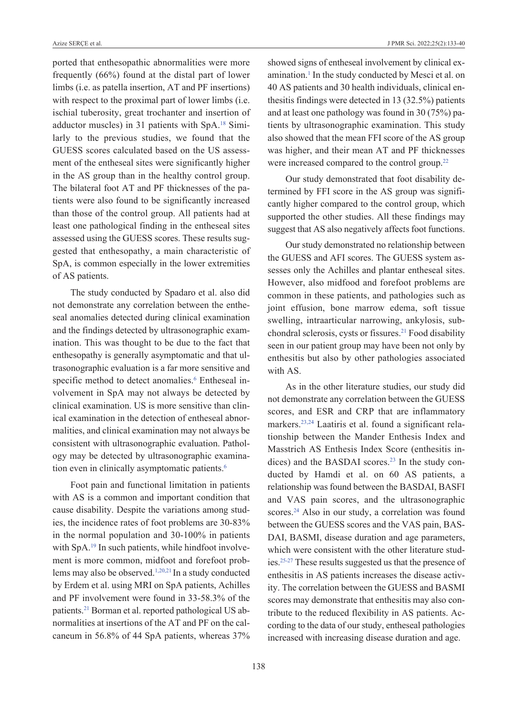ported that enthesopathic abnormalities were more frequently (66%) found at the distal part of lower limbs (i.e. as patella insertion, AT and PF insertions) with respect to the proximal part of lower limbs (i.e. ischial tuberosity, great trochanter and insertion of adductor muscles) in 31 patients with SpA[.18](#page-6-0) Similarly to the previous studies, we found that the GUESS scores calculated based on the US assessment of the entheseal sites were significantly higher in the AS group than in the healthy control group. The bilateral foot AT and PF thicknesses of the patients were also found to be significantly increased than those of the control group. All patients had at least one pathological finding in the entheseal sites assessed using the GUESS scores. These results suggested that enthesopathy, a main characteristic of SpA, is common especially in the lower extremities of AS patients.

The study conducted by Spadaro et al. also did not demonstrate any correlation between the entheseal anomalies detected during clinical examination and the findings detected by ultrasonographic examination. This was thought to be due to the fact that enthesopathy is generally asymptomatic and that ultrasonographic evaluation is a far more sensitive and specific method to detect anomalies.<sup>6</sup> Entheseal involvement in SpA may not always be detected by clinical examination. US is more sensitive than clinical examination in the detection of entheseal abnormalities, and clinical examination may not always be consistent with ultrasonographic evaluation. Pathology may be detected by ultrasonographic examination even in clinically asymptomatic patients.<sup>6</sup>

Foot pain and functional limitation in patients with AS is a common and important condition that cause disability. Despite the variations among studies, the incidence rates of foot problems are 30-83% in the normal population and 30-100% in patients with SpA.<sup>19</sup> In such patients, while hindfoot involvement is more common, midfoot and forefoot problems may also be observed[.1,20,21](#page-6-0) In a study conducted by Erdem et al. using MRI on SpA patients, Achilles and PF involvement were found in 33-58.3% of the patients[.21](#page-6-0) Borman et al. reported pathological US abnormalities at insertions of the AT and PF on the calcaneum in 56.8% of 44 SpA patients, whereas 37% showed signs of entheseal involvement by clinical examination.<sup>1</sup> In the study conducted by Mesci et al. on 40 AS patients and 30 health individuals, clinical enthesitis findings were detected in 13 (32.5%) patients and at least one pathology was found in 30 (75%) patients by ultrasonographic examination. This study also showed that the mean FFI score of the AS group was higher, and their mean AT and PF thicknesses were increased compared to the control group.<sup>22</sup>

Our study demonstrated that foot disability determined by FFI score in the AS group was significantly higher compared to the control group, which supported the other studies. All these findings may suggest that AS also negatively affects foot functions.

Our study demonstrated no relationship between the GUESS and AFI scores. The GUESS system assesses only the Achilles and plantar entheseal sites. However, also midfood and forefoot problems are common in these patients, and pathologies such as joint effusion, bone marrow edema, soft tissue swelling, intraarticular narrowing, ankylosis, subchondral sclerosis, cysts or fissures[.21](#page-6-0) Food disability seen in our patient group may have been not only by enthesitis but also by other pathologies associated with AS.

As in the other literature studies, our study did not demonstrate any correlation between the GUESS scores, and ESR and CRP that are inflammatory markers[.23,24](#page-6-0) Laatiris et al. found a significant relationship between the Mander Enthesis Index and Masstrich AS Enthesis Index Score (enthesitis indices) and the BASDAI scores.<sup>23</sup> In the study conducted by Hamdi et al. on 60 AS patients, a relationship was found between the BASDAI, BASFI and VAS pain scores, and the ultrasonographic scores.<sup>24</sup> Also in our study, a correlation was found between the GUESS scores and the VAS pain, BAS-DAI, BASMI, disease duration and age parameters, which were consistent with the other literature studies[.25-27](#page-6-0) These results suggested us that the presence of enthesitis in AS patients increases the disease activity. The correlation between the GUESS and BASMI scores may demonstrate that enthesitis may also contribute to the reduced flexibility in AS patients. According to the data of our study, entheseal pathologies increased with increasing disease duration and age.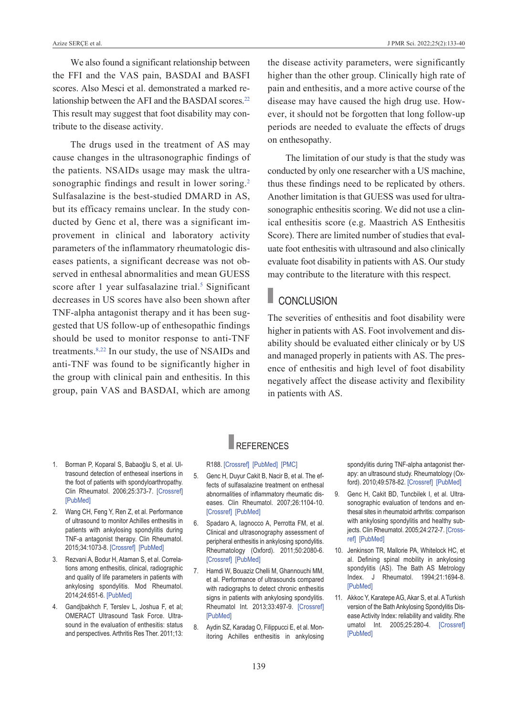We also found a significant relationship between the FFI and the VAS pain, BASDAI and BASFI scores. Also Mesci et al. demonstrated a marked relationship between the AFI and the BASDAI scores.<sup>22</sup> This result may suggest that foot disability may contribute to the disease activity.

The drugs used in the treatment of AS may cause changes in the ultrasonographic findings of the patients. NSAIDs usage may mask the ultrasonographic findings and result in lower soring.<sup>2</sup> Sulfasalazine is the best-studied DMARD in AS, but its efficacy remains unclear. In the study conducted by Genc et al, there was a significant improvement in clinical and laboratory activity parameters of the inflammatory rheumatologic diseases patients, a significant decrease was not observed in enthesal abnormalities and mean GUESS score after 1 year sulfasalazine trial.<sup>5</sup> Significant decreases in US scores have also been shown after TNF-alpha antagonist therapy and it has been suggested that US follow-up of enthesopathic findings should be used to monitor response to anti-TNF treatments[.8,22](#page-6-0) In our study, the use of NSAIDs and anti-TNF was found to be significantly higher in the group with clinical pain and enthesitis. In this group, pain VAS and BASDAI, which are among

the disease activity parameters, were significantly higher than the other group. Clinically high rate of pain and enthesitis, and a more active course of the disease may have caused the high drug use. However, it should not be forgotten that long follow-up periods are needed to evaluate the effects of drugs on enthesopathy.

The limitation of our study is that the study was conducted by only one researcher with a US machine, thus these findings need to be replicated by others. Another limitation is that GUESS was used for ultrasonographic enthesitis scoring. We did not use a clinical enthesitis score (e.g. Maastrich AS Enthesitis Score). There are limited number of studies that evaluate foot enthesitis with ultrasound and also clinically evaluate foot disability in patients with AS. Our study may contribute to the literature with this respect.

### **CONCLUSION**

The severities of enthesitis and foot disability were higher in patients with AS. Foot involvement and disability should be evaluated either clinicaly or by US and managed properly in patients with AS. The presence of enthesitis and high level of foot disability negatively affect the disease activity and flexibility in patients with AS.

- 1. Borman P, Koparal S, Babaoğlu S, et al. Ultrasound detection of entheseal insertions in the foot of patients with spondyloarthropathy. Clin Rheumatol. 2006;25:373-7. [Crossref] [\[PubMed\]](https://pubmed.ncbi.nlm.nih.gov/16261286/)
- 2. Wang CH, Feng Y, Ren Z, et al. Performance of ultrasound to monitor Achilles enthesitis in patients with ankylosing spondylitis during TNF-a antagonist therapy. Clin Rheumatol. 2015;34:1073-8. [\[crossref\]](https://link.springer.com/article/10.1007/s10067-015-2939-5) [\[PubMed\]](https://pubmed.ncbi.nlm.nih.gov/25896532/)
- 3. Rezvani A, Bodur H, Ataman S, et al. Correlations among enthesitis, clinical, radiographic and quality of life parameters in patients with ankylosing spondylitis. Mod Rheumatol. 2014;24:651-6. [\[PubMed\]](https://pubmed.ncbi.nlm.nih.gov/24252034/)
- 4. Gandjbakhch F, Terslev L, Joshua F, et al; OMERACT Ultrasound Task Force. Ultrasound in the evaluation of enthesitis: status and perspectives. Arthritis Res Ther. 2011;13:

## REFERENCES

#### R188. [Crossref] [\[PubMed\]](https://pubmed.ncbi.nlm.nih.gov/22093457/) [PMC]

- 5. Genc H, Duyur Cakit B, Nacir B, et al. The effects of sulfasalazine treatment on enthesal abnormalities of inflammatory rheumatic diseases. Clin Rheumatol. 2007;26:1104-10. [\[crossref\]](https://link.springer.com/article/10.1007/s10067-006-0460-6) [\[PubMed\]](https://pubmed.ncbi.nlm.nih.gov/17086383/)
- 6. Spadaro A, lagnocco A, Perrotta FM, et al. clinical and ultrasonography assessment of peripheral enthesitis in ankylosing spondylitis. rheumatology (oxford). 2011;50:2080-6. [Crossref] [PubMed]
- 7. hamdi W, Bouaziz chelli M, ghannouchi MM, et al. Performance of ultrasounds compared with radiographs to detect chronic enthesitis signs in patients with ankylosing spondylitis. Rheumatol Int. 2013;33:497-9. [Crossref] [\[PubMed\]](https://pubmed.ncbi.nlm.nih.gov/22057135/)
- 8. Aydin SZ, Karadag O, Filippucci E, et al. Monitoring Achilles enthesitis in ankylosing

<span id="page-6-0"></span>spondylitis during TNF-alpha antagonist therapy: an ultrasound study. Rheumatology (Oxford). 2010;49:578-82. [\[crossref\]](http://om/rheumatology/article/49/3/578/1787090) [\[PubMed\]](https://pubmed.ncbi.nlm.nih.gov/20040527/)

- 9. Genc H, Cakit BD, Tuncbilek I, et al. Ultrasonographic evaluation of tendons and enthesal sites in rheumatoid arthritis: comparison with ankylosing spondylitis and healthy subjects. Clin Rheumatol. 2005;24:272-7. [Cross[ref\]](https://link.springer.com/article/10.1007/s10067-004-0997-1) [\[PubMed\]](https://pubmed.ncbi.nlm.nih.gov/15940560/)
- 10. Jenkinson TR, Mallorie PA, Whitelock HC, et al. Defining spinal mobility in ankylosing spondylitis (AS). The Bath AS Metrology Index. J Rheumatol. 1994;21:1694-8. [\[PubMed\]](https://pubmed.ncbi.nlm.nih.gov/7799351/)
- 11. Akkoc Y, Karatepe AG, Akar S, et al. A Turkish version of the Bath Ankylosing Spondylitis Disease Activity Index: reliability and validity. Rhe umatol Int. 2005;25:280-4. [Crossref] [\[PubMed\]](https://pubmed.ncbi.nlm.nih.gov/14730386/)